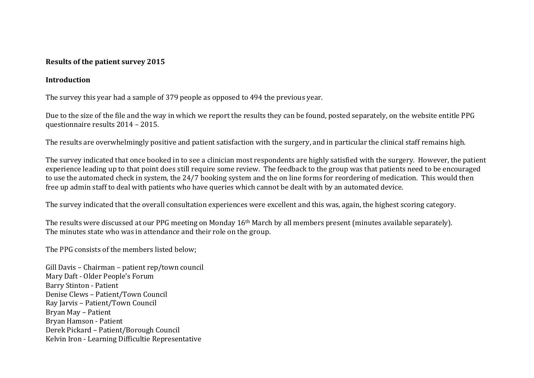#### **Results of the patient survey 2015**

#### **Introduction**

The survey this year had a sample of 379 people as opposed to 494 the previous year.

Due to the size of the file and the way in which we report the results they can be found, posted separately, on the website entitle PPG questionnaire results 2014 – 2015.

The results are overwhelmingly positive and patient satisfaction with the surgery, and in particular the clinical staff remains high.

The survey indicated that once booked in to see a clinician most respondents are highly satisfied with the surgery. However, the patient experience leading up to that point does still require some review. The feedback to the group was that patients need to be encouraged to use the automated check in system, the 24/7 booking system and the on line forms for reordering of medication. This would then free up admin staff to deal with patients who have queries which cannot be dealt with by an automated device.

The survey indicated that the overall consultation experiences were excellent and this was, again, the highest scoring category.

The results were discussed at our PPG meeting on Monday 16th March by all members present (minutes available separately). The minutes state who was in attendance and their role on the group.

The PPG consists of the members listed below;

Gill Davis – Chairman – patient rep/town council Mary Daft - Older People's Forum Barry Stinton - Patient Denise Clews – Patient/Town Council Ray Jarvis – Patient/Town Council Bryan May – Patient Bryan Hamson - Patient Derek Pickard – Patient/Borough Council Kelvin Iron - Learning Difficultie Representative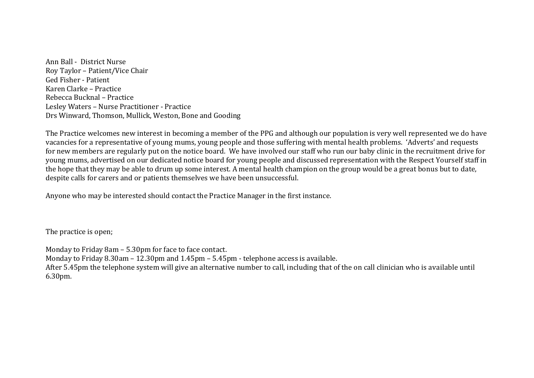Ann Ball - District Nurse Roy Taylor – Patient/Vice Chair Ged Fisher - Patient Karen Clarke – Practice Rebecca Bucknal – Practice Lesley Waters – Nurse Practitioner - Practice Drs Winward, Thomson, Mullick, Weston, Bone and Gooding

The Practice welcomes new interest in becoming a member of the PPG and although our population is very well represented we do have vacancies for a representative of young mums, young people and those suffering with mental health problems. 'Adverts' and requests for new members are regularly put on the notice board. We have involved our staff who run our baby clinic in the recruitment drive for young mums, advertised on our dedicated notice board for young people and discussed representation with the Respect Yourself staff in the hope that they may be able to drum up some interest. A mental health champion on the group would be a great bonus but to date, despite calls for carers and or patients themselves we have been unsuccessful.

Anyone who may be interested should contact the Practice Manager in the first instance.

The practice is open;

Monday to Friday 8am – 5.30pm for face to face contact. Monday to Friday 8.30am – 12.30pm and 1.45pm – 5.45pm - telephone access is available. After 5.45pm the telephone system will give an alternative number to call, including that of the on call clinician who is available until 6.30pm.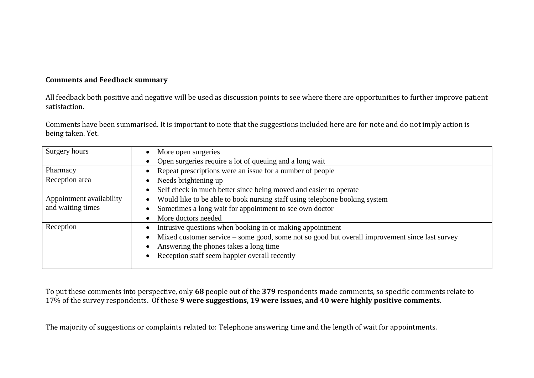#### **Comments and Feedback summary**

All feedback both positive and negative will be used as discussion points to see where there are opportunities to further improve patient satisfaction.

Comments have been summarised. It is important to note that the suggestions included here are for note and do not imply action is being taken. Yet.

| Surgery hours            | More open surgeries                                                                            |  |  |  |  |
|--------------------------|------------------------------------------------------------------------------------------------|--|--|--|--|
|                          | Open surgeries require a lot of queuing and a long wait                                        |  |  |  |  |
| Pharmacy                 | Repeat prescriptions were an issue for a number of people                                      |  |  |  |  |
| Reception area           | Needs brightening up<br>$\bullet$                                                              |  |  |  |  |
|                          | Self check in much better since being moved and easier to operate                              |  |  |  |  |
| Appointment availability | Would like to be able to book nursing staff using telephone booking system                     |  |  |  |  |
| and waiting times        | Sometimes a long wait for appointment to see own doctor                                        |  |  |  |  |
|                          | More doctors needed                                                                            |  |  |  |  |
| Reception                | Intrusive questions when booking in or making appointment<br>$\bullet$                         |  |  |  |  |
|                          | Mixed customer service – some good, some not so good but overall improvement since last survey |  |  |  |  |
|                          | Answering the phones takes a long time                                                         |  |  |  |  |
|                          | Reception staff seem happier overall recently                                                  |  |  |  |  |
|                          |                                                                                                |  |  |  |  |

To put these comments into perspective, only **68** people out of the **379** respondents made comments, so specific comments relate to 17% of the survey respondents. Of these **9 were suggestions, 19 were issues, and 40 were highly positive comments**.

The majority of suggestions or complaints related to: Telephone answering time and the length of wait for appointments.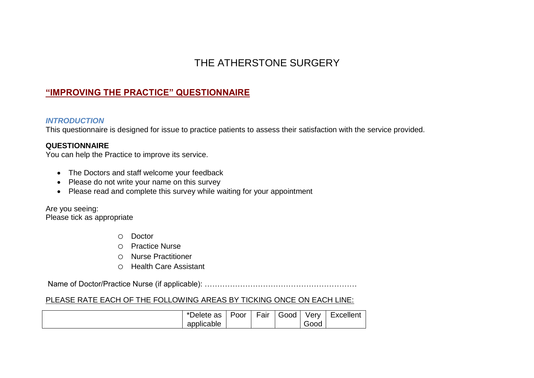# THE ATHERSTONE SURGERY

## **"IMPROVING THE PRACTICE" QUESTIONNAIRE**

#### *INTRODUCTION*

This questionnaire is designed for issue to practice patients to assess their satisfaction with the service provided.

## **QUESTIONNAIRE**

You can help the Practice to improve its service.

- The Doctors and staff welcome your feedback
- Please do not write your name on this survey
- Please read and complete this survey while waiting for your appointment

Are you seeing: Please tick as appropriate

- o Doctor
- o Practice Nurse
- o Nurse Practitioner
- o Health Care Assistant

Name of Doctor/Practice Nurse (if applicable): ……………………………………………………

## PLEASE RATE EACH OF THE FOLLOWING AREAS BY TICKING ONCE ON EACH LINE:

| Jelete<br>as<br>$\ddot{\phantom{1}}$ | -<br>Poor | $\overline{\phantom{0}}$<br>Fair | $\overline{\phantom{0}}$<br>Good | √erv<br>$-$ | <b>Excellent</b> |
|--------------------------------------|-----------|----------------------------------|----------------------------------|-------------|------------------|
| applicable                           |           |                                  |                                  | Good        |                  |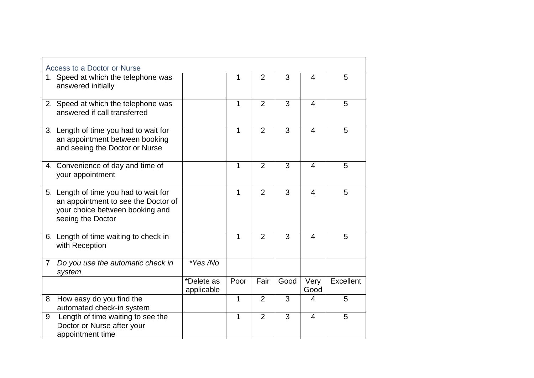|                | Access to a Doctor or Nurse                                                                                                          |                          |              |                |      |                |                  |
|----------------|--------------------------------------------------------------------------------------------------------------------------------------|--------------------------|--------------|----------------|------|----------------|------------------|
|                | 1. Speed at which the telephone was<br>answered initially                                                                            |                          | 1            | $\overline{2}$ | 3    | 4              | 5                |
|                | 2. Speed at which the telephone was<br>answered if call transferred                                                                  |                          | 1            | $\overline{2}$ | 3    | $\overline{4}$ | 5                |
|                | 3. Length of time you had to wait for<br>an appointment between booking<br>and seeing the Doctor or Nurse                            |                          | 1            | $\overline{2}$ | 3    | 4              | 5                |
|                | 4. Convenience of day and time of<br>your appointment                                                                                |                          | 1            | $\overline{2}$ | 3    | $\overline{4}$ | 5                |
|                | 5. Length of time you had to wait for<br>an appointment to see the Doctor of<br>your choice between booking and<br>seeing the Doctor |                          | $\mathbf{1}$ | $\overline{2}$ | 3    | $\overline{4}$ | 5                |
|                | 6. Length of time waiting to check in<br>with Reception                                                                              |                          | 1            | $\overline{2}$ | 3    | 4              | 5                |
| $\overline{7}$ | Do you use the automatic check in<br>system                                                                                          | *Yes /No                 |              |                |      |                |                  |
|                |                                                                                                                                      | *Delete as<br>applicable | Poor         | Fair           | Good | Very<br>Good   | <b>Excellent</b> |
| 8              | How easy do you find the<br>automated check-in system                                                                                |                          | 1            | 2              | 3    | 4              | 5                |
| 9              | Length of time waiting to see the<br>Doctor or Nurse after your<br>appointment time                                                  |                          | 1            | $\overline{2}$ | 3    | $\overline{4}$ | 5                |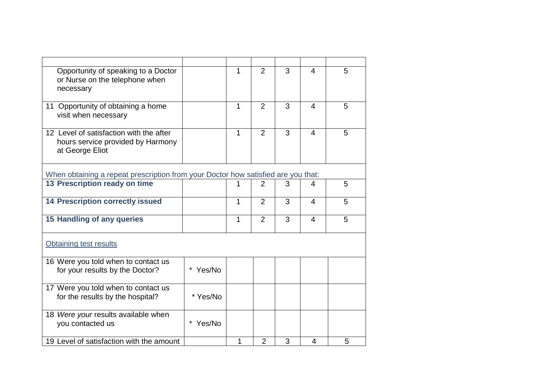| Opportunity of speaking to a Doctor<br>or Nurse on the telephone when<br>necessary              |          | 1            | 2              | 3              | $\overline{4}$ | 5 |
|-------------------------------------------------------------------------------------------------|----------|--------------|----------------|----------------|----------------|---|
| 11 Opportunity of obtaining a home<br>visit when necessary                                      |          | 1            | 2              | $\overline{3}$ | $\overline{4}$ | 5 |
| 12 Level of satisfaction with the after<br>hours service provided by Harmony<br>at George Eliot |          | $\mathbf{1}$ | 2              | 3              | $\overline{4}$ | 5 |
| When obtaining a repeat prescription from your Doctor how satisfied are you that:               |          |              |                |                |                |   |
| 13 Prescription ready on time                                                                   |          |              | 2              | 3              | 4              | 5 |
| <b>14 Prescription correctly issued</b>                                                         |          | $\mathbf{1}$ | $\overline{2}$ | 3              | $\overline{4}$ | 5 |
| 15 Handling of any queries                                                                      |          | 1            | $\overline{2}$ | 3              | $\overline{4}$ | 5 |
| Obtaining test results                                                                          |          |              |                |                |                |   |
| 16 Were you told when to contact us<br>for your results by the Doctor?                          | Yes/No   |              |                |                |                |   |
| 17 Were you told when to contact us<br>for the results by the hospital?                         | * Yes/No |              |                |                |                |   |
| 18 Were your results available when<br>you contacted us                                         | * Yes/No |              |                |                |                |   |
| 19 Level of satisfaction with the amount                                                        |          | 1            | $\overline{2}$ | 3              | 4              | 5 |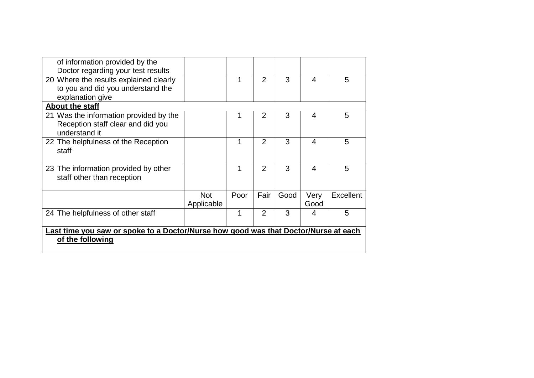| of information provided by the                                                      |            |      |                |      |      |                  |
|-------------------------------------------------------------------------------------|------------|------|----------------|------|------|------------------|
| Doctor regarding your test results                                                  |            |      |                |      |      |                  |
| 20 Where the results explained clearly                                              |            | 1    | $\overline{2}$ | 3    | 4    | 5                |
| to you and did you understand the                                                   |            |      |                |      |      |                  |
| explanation give                                                                    |            |      |                |      |      |                  |
| About the staff                                                                     |            |      |                |      |      |                  |
| 21 Was the information provided by the                                              |            | 1    | $\overline{2}$ | 3    | 4    | 5                |
| Reception staff clear and did you                                                   |            |      |                |      |      |                  |
| understand it                                                                       |            |      |                |      |      |                  |
| 22 The helpfulness of the Reception                                                 |            | 1    | $\overline{2}$ | 3    | 4    | 5                |
| staff                                                                               |            |      |                |      |      |                  |
|                                                                                     |            |      |                |      |      |                  |
| 23 The information provided by other                                                |            | 1    | $\overline{2}$ | 3    | 4    | 5                |
| staff other than reception                                                          |            |      |                |      |      |                  |
|                                                                                     |            |      |                |      |      |                  |
|                                                                                     | <b>Not</b> | Poor | Fair           | Good | Very | <b>Excellent</b> |
|                                                                                     | Applicable |      |                |      | Good |                  |
| 24 The helpfulness of other staff                                                   |            | 1    | $\overline{2}$ | 3    | 4    | 5                |
|                                                                                     |            |      |                |      |      |                  |
| Last time you saw or spoke to a Doctor/Nurse how good was that Doctor/Nurse at each |            |      |                |      |      |                  |
| of the following                                                                    |            |      |                |      |      |                  |
|                                                                                     |            |      |                |      |      |                  |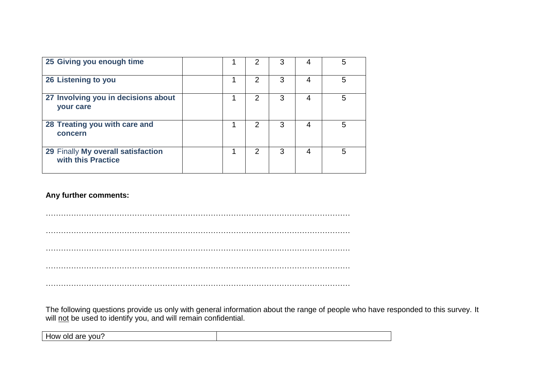| 25 Giving you enough time                                |   | 2             | 3 | 4 | 5 |
|----------------------------------------------------------|---|---------------|---|---|---|
| 26 Listening to you                                      |   | 2             | 3 | Δ | 5 |
| 27 Involving you in decisions about<br>your care         |   | 2             | 3 | 4 | 5 |
| 28 Treating you with care and<br>concern                 | ◀ | $\mathcal{P}$ | 3 | 4 | 5 |
| 29 Finally My overall satisfaction<br>with this Practice | и | 2             | 3 | Δ | 5 |

## **Any further comments:**

………………………………………………………………………………………………………… ………………………………………………………………………………………………………… . The contract of the contract of the contract of the contract of the contract of the contract of the contract of the contract of the contract of the contract of the contract of the contract of the contract of the contrac ………………………………………………………………………………………………………… …………………………………………………………………………………………………………

The following questions provide us only with general information about the range of people who have responded to this survey. It will not be used to identify you, and will remain confidential.

How old are you?